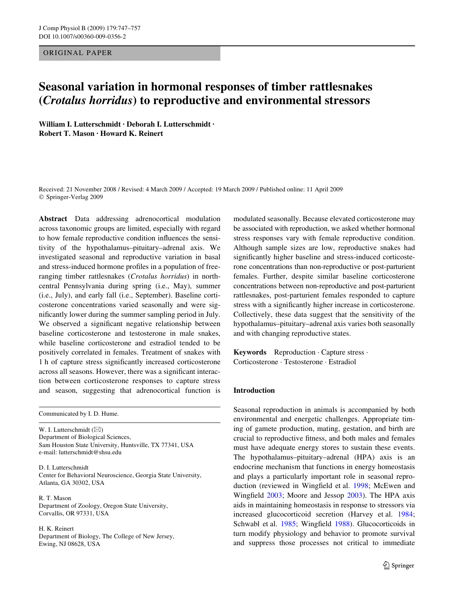## ORIGINAL PAPER

# **Seasonal variation in hormonal responses of timber rattlesnakes (***Crotalus horridus***) to reproductive and environmental stressors**

**William I. Lutterschmidt · Deborah I. Lutterschmidt · Robert T. Mason · Howard K. Reinert** 

Received: 21 November 2008 / Revised: 4 March 2009 / Accepted: 19 March 2009 / Published online: 11 April 2009 © Springer-Verlag 2009

**Abstract** Data addressing adrenocortical modulation across taxonomic groups are limited, especially with regard to how female reproductive condition influences the sensitivity of the hypothalamus–pituitary–adrenal axis. We investigated seasonal and reproductive variation in basal and stress-induced hormone profiles in a population of freeranging timber rattlesnakes (*Crotalus horridus*) in northcentral Pennsylvania during spring (i.e., May), summer (i.e., July), and early fall (i.e., September). Baseline corticosterone concentrations varied seasonally and were significantly lower during the summer sampling period in July. We observed a significant negative relationship between baseline corticosterone and testosterone in male snakes, while baseline corticosterone and estradiol tended to be positively correlated in females. Treatment of snakes with 1 h of capture stress significantly increased corticosterone across all seasons. However, there was a significant interaction between corticosterone responses to capture stress and season, suggesting that adrenocortical function is

Communicated by I. D. Hume.

W. I. Lutterschmidt  $(\boxtimes)$ Department of Biological Sciences, Sam Houston State University, Huntsville, TX 77341, USA e-mail: lutterschmidt@shsu.edu

D. I. Lutterschmidt Center for Behavioral Neuroscience, Georgia State University, Atlanta, GA 30302, USA

R. T. Mason Department of Zoology, Oregon State University, Corvallis, OR 97331, USA

H. K. Reinert Department of Biology, The College of New Jersey, Ewing, NJ 08628, USA

modulated seasonally. Because elevated corticosterone may be associated with reproduction, we asked whether hormonal stress responses vary with female reproductive condition. Although sample sizes are low, reproductive snakes had significantly higher baseline and stress-induced corticosterone concentrations than non-reproductive or post-parturient females. Further, despite similar baseline corticosterone concentrations between non-reproductive and post-parturient rattlesnakes, post-parturient females responded to capture stress with a significantly higher increase in corticosterone. Collectively, these data suggest that the sensitivity of the hypothalamus–pituitary–adrenal axis varies both seasonally and with changing reproductive states.

**Keywords** Reproduction · Capture stress · Corticosterone · Testosterone · Estradiol

# **Introduction**

Seasonal reproduction in animals is accompanied by both environmental and energetic challenges. Appropriate timing of gamete production, mating, gestation, and birth are crucial to reproductive fitness, and both males and females must have adequate energy stores to sustain these events. The hypothalamus–pituitary–adrenal (HPA) axis is an endocrine mechanism that functions in energy homeostasis and plays a particularly important role in seasonal repro-duction (reviewed in Wingfield et al. [1998](#page-10-0); McEwen and Wingfield  $2003$ ; Moore and Jessop  $2003$ ). The HPA axis aids in maintaining homeostasis in response to stressors via increased glucocorticoid secretion (Harvey et al. [1984;](#page-8-0) Schwabl et al. [1985](#page-9-2); Wingfield [1988\)](#page-10-1). Glucocorticoids in turn modify physiology and behavior to promote survival and suppress those processes not critical to immediate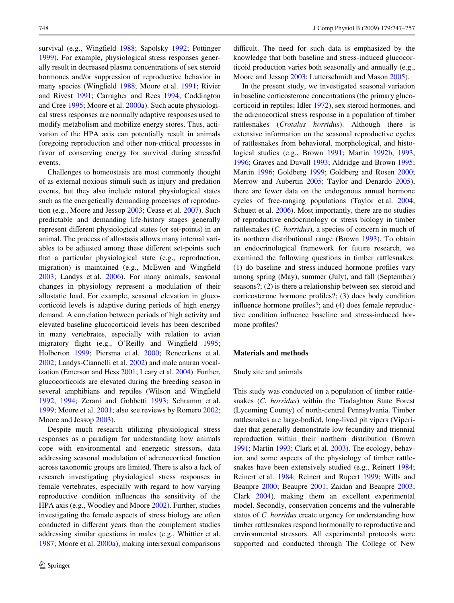survival (e.g., Wingfield [1988;](#page-10-1) Sapolsky [1992](#page-9-3); Pottinger [1999](#page-9-4)). For example, physiological stress responses generally result in decreased plasma concentrations of sex steroid hormones and/or suppression of reproductive behavior in many species (Wingfield [1988;](#page-10-1) Moore et al. [1991;](#page-9-5) Rivier and Rivest [1991;](#page-9-6) Carragher and Rees [1994;](#page-8-1) Coddington and Cree [1995](#page-8-2); Moore et al. [2000a\)](#page-9-7). Such acute physiological stress responses are normally adaptive responses used to modify metabolism and mobilize energy stores. Thus, activation of the HPA axis can potentially result in animals foregoing reproduction and other non-critical processes in favor of conserving energy for survival during stressful events.

Challenges to homeostasis are most commonly thought of as external noxious stimuli such as injury and predation events, but they also include natural physiological states such as the energetically demanding processes of reproduction (e.g., Moore and Jessop [2003;](#page-9-1) Cease et al. [2007\)](#page-8-3). Such predictable and demanding life-history stages generally represent different physiological states (or set-points) in an animal. The process of allostasis allows many internal variables to be adjusted among these different set-points such that a particular physiological state (e.g., reproduction, migration) is maintained (e.g., McEwen and Wingfield [2003](#page-9-0); Landys et al. [2006\)](#page-9-8). For many animals, seasonal changes in physiology represent a modulation of their allostatic load. For example, seasonal elevation in glucocorticoid levels is adaptive during periods of high energy demand. A correlation between periods of high activity and elevated baseline glucocorticoid levels has been described in many vertebrates, especially with relation to avian migratory flight (e.g., O'Reilly and Wingfield [1995](#page-9-9); Holberton [1999](#page-8-4); Piersma et al. [2000;](#page-9-10) Reneerkens et al. [2002](#page-9-11); Landys-Ciannelli et al. [2002\)](#page-9-12) and male anuran vocalization (Emerson and Hess [2001](#page-8-5); Leary et al. [2004\)](#page-9-13). Further, glucocorticoids are elevated during the breeding season in several amphibians and reptiles (Wilson and Wingfield [1992](#page-10-2), [1994;](#page-10-3) Zerani and Gobbetti [1993](#page-10-4); Schramm et al. [1999](#page-9-14); Moore et al. [2001](#page-9-15); also see reviews by Romero [2002](#page-9-16); Moore and Jessop [2003\)](#page-9-1).

Despite much research utilizing physiological stress responses as a paradigm for understanding how animals cope with environmental and energetic stressors, data addressing seasonal modulation of adrenocortical function across taxonomic groups are limited. There is also a lack of research investigating physiological stress responses in female vertebrates, especially with regard to how varying reproductive condition influences the sensitivity of the HPA axis (e.g., Woodley and Moore [2002\)](#page-10-5). Further, studies investigating the female aspects of stress biology are often conducted in different years than the complement studies addressing similar questions in males (e.g., Whittier et al. [1987](#page-9-17); Moore et al. [2000a\)](#page-9-7), making intersexual comparisons difficult. The need for such data is emphasized by the knowledge that both baseline and stress-induced glucocorticoid production varies both seasonally and annually (e.g., Moore and Jessop [2003;](#page-9-1) Lutterschmidt and Mason [2005](#page-9-18)).

In the present study, we investigated seasonal variation in baseline corticosterone concentrations (the primary glucocorticoid in reptiles; Idler [1972](#page-8-6)), sex steroid hormones, and the adrenocortical stress response in a population of timber rattlesnakes (*Crotalus horridus*). Although there is extensive information on the seasonal reproductive cycles of rattlesnakes from behavioral, morphological, and histological studies (e.g., Brown [1991](#page-8-7); Martin [1992b](#page-9-19), [1993,](#page-9-20) [1996](#page-9-21); Graves and Duvall [1993](#page-8-8); Aldridge and Brown [1995;](#page-8-9) Martin [1996](#page-9-21); Goldberg [1999;](#page-8-10) Goldberg and Rosen [2000;](#page-8-11) Merrow and Aubertin [2005;](#page-9-22) Taylor and Denardo [2005](#page-9-23)), there are fewer data on the endogenous annual hormone cycles of free-ranging populations (Taylor et al. [2004;](#page-9-24) Schuett et al. [2006](#page-9-25)). Most importantly, there are no studies of reproductive endocrinology or stress biology in timber rattlesnakes (*C. horridus*), a species of concern in much of its northern distributional range (Brown [1993\)](#page-8-12). To obtain an endocrinological framework for future research, we examined the following questions in timber rattlesnakes:  $(1)$  do baseline and stress-induced hormone profiles vary among spring (May), summer (July), and fall (September) seasons?; (2) is there a relationship between sex steroid and corticosterone hormone profiles?; (3) does body condition influence hormone profiles?; and (4) does female reproductive condition influence baseline and stress-induced hormone profiles?

### **Materials and methods**

#### Study site and animals

This study was conducted on a population of timber rattlesnakes (*C. horridus*) within the Tiadaghton State Forest (Lycoming County) of north-central Pennsylvania. Timber rattlesnakes are large-bodied, long-lived pit vipers (Viperidae) that generally demonstrate low fecundity and triennial reproduction within their northern distribution (Brown [1991](#page-8-7); Martin [1993](#page-9-20); Clark et al. [2003\)](#page-8-13). The ecology, behavior, and some aspects of the physiology of timber rattlesnakes have been extensively studied (e.g., Reinert [1984;](#page-9-26) Reinert et al. [1984](#page-9-27); Reinert and Rupert [1999](#page-9-28); Wills and Beaupre [2000](#page-10-6); Beaupre [2001](#page-8-14); Zaidan and Beaupre [2003;](#page-10-7) Clark [2004](#page-8-15)), making them an excellent experimental model. Secondly, conservation concerns and the vulnerable status of *C. horridus* create urgency for understanding how timber rattlesnakes respond hormonally to reproductive and environmental stressors. All experimental protocols were supported and conducted through The College of New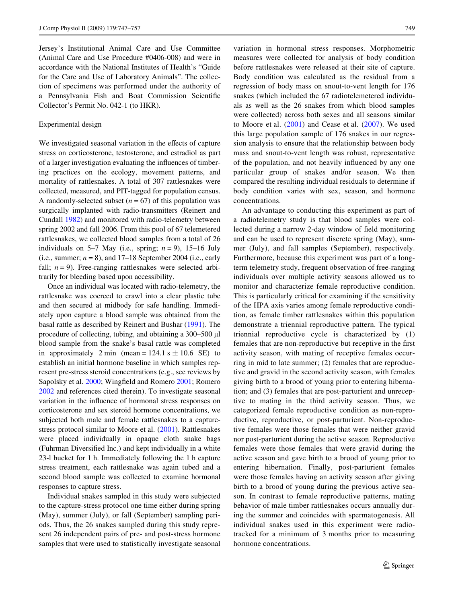Jersey's Institutional Animal Care and Use Committee (Animal Care and Use Procedure #0406-008) and were in accordance with the National Institutes of Health's "Guide for the Care and Use of Laboratory Animals". The collection of specimens was performed under the authority of a Pennsylvania Fish and Boat Commission Scientific Collector's Permit No. 042-1 (to HKR).

## Experimental design

We investigated seasonal variation in the effects of capture stress on corticosterone, testosterone, and estradiol as part of a larger investigation evaluating the influences of timbering practices on the ecology, movement patterns, and mortality of rattlesnakes. A total of 307 rattlesnakes were collected, measured, and PIT-tagged for population census. A randomly-selected subset  $(n = 67)$  of this population was surgically implanted with radio-transmitters (Reinert and Cundall [1982](#page-9-29)) and monitored with radio-telemetry between spring 2002 and fall 2006. From this pool of 67 telemetered rattlesnakes, we collected blood samples from a total of 26 individuals on 5–7 May (i.e., spring;  $n = 9$ ), 15–16 July (i.e., summer;  $n = 8$ ), and  $17-18$  September 2004 (i.e., early fall;  $n = 9$ ). Free-ranging rattlesnakes were selected arbitrarily for bleeding based upon accessibility.

Once an individual was located with radio-telemetry, the rattlesnake was coerced to crawl into a clear plastic tube and then secured at midbody for safe handling. Immediately upon capture a blood sample was obtained from the basal rattle as described by Reinert and Bushar [\(1991](#page-9-30)). The procedure of collecting, tubing, and obtaining a  $300-500 \mu l$ blood sample from the snake's basal rattle was completed in approximately 2 min (mean =  $124.1$  s  $\pm 10.6$  SE) to establish an initial hormone baseline in which samples represent pre-stress steroid concentrations (e.g., see reviews by Sapolsky et al. [2000](#page-9-31); Wingfield and Romero [2001;](#page-10-8) Romero [2002](#page-9-16) and references cited therein). To investigate seasonal variation in the influence of hormonal stress responses on corticosterone and sex steroid hormone concentrations, we subjected both male and female rattlesnakes to a capturestress protocol similar to Moore et al. ([2001\)](#page-9-15). Rattlesnakes were placed individually in opaque cloth snake bags (Fuhrman Diversified Inc.) and kept individually in a white 23-l bucket for 1 h. Immediately following the 1 h capture stress treatment, each rattlesnake was again tubed and a second blood sample was collected to examine hormonal responses to capture stress.

Individual snakes sampled in this study were subjected to the capture-stress protocol one time either during spring (May), summer (July), or fall (September) sampling periods. Thus, the 26 snakes sampled during this study represent 26 independent pairs of pre- and post-stress hormone samples that were used to statistically investigate seasonal variation in hormonal stress responses. Morphometric measures were collected for analysis of body condition before rattlesnakes were released at their site of capture. Body condition was calculated as the residual from a regression of body mass on snout-to-vent length for 176 snakes (which included the 67 radiotelemetered individuals as well as the 26 snakes from which blood samples were collected) across both sexes and all seasons similar to Moore et al. ([2001](#page-9-15)) and Cease et al. ([2007\)](#page-8-3). We used this large population sample of 176 snakes in our regression analysis to ensure that the relationship between body mass and snout-to-vent length was robust, representative of the population, and not heavily influenced by any one particular group of snakes and/or season. We then compared the resulting individual residuals to determine if body condition varies with sex, season, and hormone concentrations.

An advantage to conducting this experiment as part of a radiotelemetry study is that blood samples were collected during a narrow 2-day window of field monitoring and can be used to represent discrete spring (May), summer (July), and fall samples (September), respectively. Furthermore, because this experiment was part of a longterm telemetry study, frequent observation of free-ranging individuals over multiple activity seasons allowed us to monitor and characterize female reproductive condition. This is particularly critical for examining if the sensitivity of the HPA axis varies among female reproductive condition, as female timber rattlesnakes within this population demonstrate a triennial reproductive pattern. The typical triennial reproductive cycle is characterized by (1) females that are non-reproductive but receptive in the first activity season, with mating of receptive females occurring in mid to late summer; (2) females that are reproductive and gravid in the second activity season, with females giving birth to a brood of young prior to entering hibernation; and (3) females that are post-parturient and unreceptive to mating in the third activity season. Thus, we categorized female reproductive condition as non-reproductive, reproductive, or post-parturient. Non-reproductive females were those females that were neither gravid nor post-parturient during the active season. Reproductive females were those females that were gravid during the active season and gave birth to a brood of young prior to entering hibernation. Finally, post-parturient females were those females having an activity season after giving birth to a brood of young during the previous active season. In contrast to female reproductive patterns, mating behavior of male timber rattlesnakes occurs annually during the summer and coincides with spermatogenesis. All individual snakes used in this experiment were radiotracked for a minimum of 3 months prior to measuring hormone concentrations.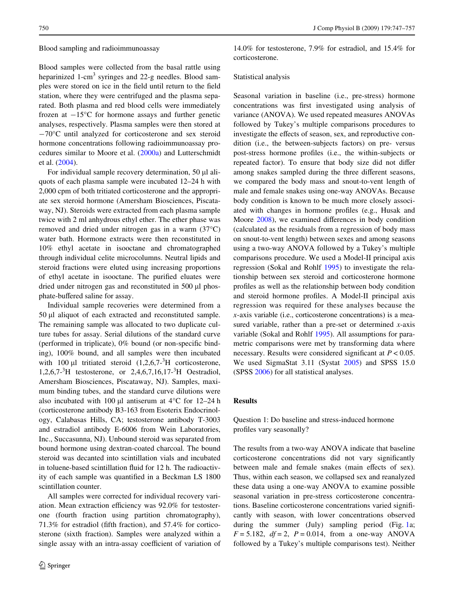#### Blood sampling and radioimmunoassay

Blood samples were collected from the basal rattle using heparinized 1-cm<sup>3</sup> syringes and 22-g needles. Blood samples were stored on ice in the field until return to the field station, where they were centrifuged and the plasma separated. Both plasma and red blood cells were immediately frozen at  $-15^{\circ}$ C for hormone assays and further genetic analyses, respectively. Plasma samples were then stored at  $-70^{\circ}$ C until analyzed for corticosterone and sex steroid hormone concentrations following radioimmunoassay procedures similar to Moore et al. ([2000a](#page-9-7)) and Lutterschmidt et al. [\(2004](#page-9-32)).

For individual sample recovery determination,  $50 \mu l$  aliquots of each plasma sample were incubated 12–24 h with 2,000 cpm of both tritiated corticosterone and the appropriate sex steroid hormone (Amersham Biosciences, Piscataway, NJ). Steroids were extracted from each plasma sample twice with 2 ml anhydrous ethyl ether. The ether phase was removed and dried under nitrogen gas in a warm (37°C) water bath. Hormone extracts were then reconstituted in 10% ethyl acetate in isooctane and chromatographed through individual celite microcolumns. Neutral lipids and steroid fractions were eluted using increasing proportions of ethyl acetate in isooctane. The purified eluates were dried under nitrogen gas and reconstituted in  $500 \mu l$  phosphate-buffered saline for assay.

Individual sample recoveries were determined from a  $50 \mu l$  aliquot of each extracted and reconstituted sample. The remaining sample was allocated to two duplicate culture tubes for assay. Serial dilutions of the standard curve (performed in triplicate),  $0\%$  bound (or non-specific binding), 100% bound, and all samples were then incubated with 100  $\mu$ l tritiated steroid  $(1,2,6,7<sup>-3</sup>H)$  corticosterone, 1,2,6,7-<sup>3</sup> H testosterone, or 2,4,6,7,16,17-<sup>3</sup> H Oestradiol, Amersham Biosciences, Piscataway, NJ). Samples, maximum binding tubes, and the standard curve dilutions were also incubated with 100  $\mu$ l antiserum at 4°C for 12–24 h (corticosterone antibody B3-163 from Esoterix Endocrinology, Calabasas Hills, CA; testosterone antibody T-3003 and estradiol antibody E-6006 from Wein Laboratories, Inc., Succasunna, NJ). Unbound steroid was separated from bound hormone using dextran-coated charcoal. The bound steroid was decanted into scintillation vials and incubated in toluene-based scintillation fluid for 12 h. The radioactivity of each sample was quantified in a Beckman LS 1800 scintillation counter.

All samples were corrected for individual recovery variation. Mean extraction efficiency was 92.0% for testosterone (fourth fraction using partition chromatography),  $71.3\%$  for estradiol (fifth fraction), and  $57.4\%$  for corticosterone (sixth fraction). Samples were analyzed within a single assay with an intra-assay coefficient of variation of

14.0% for testosterone, 7.9% for estradiol, and 15.4% for corticosterone.

#### Statistical analysis

Seasonal variation in baseline (i.e., pre-stress) hormone concentrations was first investigated using analysis of variance (ANOVA). We used repeated measures ANOVAs followed by Tukey's multiple comparisons procedures to investigate the effects of season, sex, and reproductive condition (i.e., the between-subjects factors) on pre- versus post-stress hormone profiles (i.e., the within-subjects or repeated factor). To ensure that body size did not differ among snakes sampled during the three different seasons, we compared the body mass and snout-to-vent length of male and female snakes using one-way ANOVAs. Because body condition is known to be much more closely associated with changes in hormone profiles (e.g., Husak and Moore [2008\)](#page-8-16), we examined differences in body condition (calculated as the residuals from a regression of body mass on snout-to-vent length) between sexes and among seasons using a two-way ANOVA followed by a Tukey's multiple comparisons procedure. We used a Model-II principal axis regression (Sokal and Rohlf [1995\)](#page-9-33) to investigate the relationship between sex steroid and corticosterone hormone profiles as well as the relationship between body condition and steroid hormone profiles. A Model-II principal axis regression was required for these analyses because the *x*-axis variable (i.e., corticosterone concentrations) is a measured variable, rather than a pre-set or determined *x*-axis variable (Sokal and Rohlf [1995\)](#page-9-33). All assumptions for parametric comparisons were met by transforming data where necessary. Results were considered significant at  $P < 0.05$ . We used SigmaStat 3.11 (Systat [2005\)](#page-9-34) and SPSS 15.0 (SPSS [2006](#page-9-35)) for all statistical analyses.

## **Results**

Question 1: Do baseline and stress-induced hormone profiles vary seasonally?

The results from a two-way ANOVA indicate that baseline corticosterone concentrations did not vary significantly between male and female snakes (main effects of sex). Thus, within each season, we collapsed sex and reanalyzed these data using a one-way ANOVA to examine possible seasonal variation in pre-stress corticosterone concentrations. Baseline corticosterone concentrations varied significantly with season, with lower concentrations observed during the summer (July) sampling period (Fig. [1](#page-4-0)a;  $F = 5.182$ ,  $df = 2$ ,  $P = 0.014$ , from a one-way ANOVA followed by a Tukey's multiple comparisons test). Neither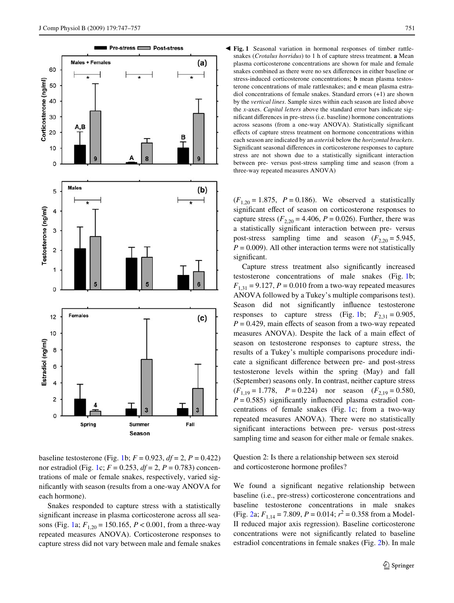

baseline testosterone (Fig. [1](#page-4-0)b;  $F = 0.923$ ,  $df = 2$ ,  $P = 0.422$ ) nor estradiol (Fig. [1](#page-4-0)c;  $F = 0.253$ ,  $df = 2$ ,  $P = 0.783$ ) concentrations of male or female snakes, respectively, varied significantly with season (results from a one-way ANOVA for each hormone).

Snakes responded to capture stress with a statistically significant increase in plasma corticosterone across all sea-sons (Fig. [1](#page-4-0)a;  $F_{1,20} = 150.165$ ,  $P < 0.001$ , from a three-way repeated measures ANOVA). Corticosterone responses to capture stress did not vary between male and female snakes

<span id="page-4-0"></span>

 $(F_{1,20} = 1.875, P = 0.186)$ . We observed a statistically significant effect of season on corticosterone responses to capture stress  $(F_{2,20} = 4.406, P = 0.026)$ . Further, there was a statistically significant interaction between pre- versus post-stress sampling time and season  $(F_{2,20} = 5.945,$  $P = 0.009$ ). All other interaction terms were not statistically significant.

Capture stress treatment also significantly increased testosterone concentrations of male snakes (Fig. [1b](#page-4-0);  $F_{1,31} = 9.127$ ,  $P = 0.010$  from a two-way repeated measures ANOVA followed by a Tukey's multiple comparisons test). Season did not significantly influence testosterone responses to capture stress (Fig. [1](#page-4-0)b;  $F_{2,31} = 0.905$ ,  $P = 0.429$ , main effects of season from a two-way repeated measures ANOVA). Despite the lack of a main effect of season on testosterone responses to capture stress, the results of a Tukey's multiple comparisons procedure indicate a significant difference between pre- and post-stress testosterone levels within the spring (May) and fall (September) seasons only. In contrast, neither capture stress  $(F_{1,19} = 1.778, P = 0.224)$  nor season  $(F_{2,19} = 0.580,$  $P = 0.585$ ) significantly influenced plasma estradiol concentrations of female snakes (Fig. [1](#page-4-0)c; from a two-way repeated measures ANOVA). There were no statistically significant interactions between pre- versus post-stress sampling time and season for either male or female snakes.

Question 2: Is there a relationship between sex steroid and corticosterone hormone profiles?

We found a significant negative relationship between baseline (i.e., pre-stress) corticosterone concentrations and baseline testosterone concentrations in male snakes (Fig. [2a](#page-5-0);  $F_{1,14} = 7.809$ ,  $P = 0.014$ ;  $r^2 = 0.358$  from a Model-II reduced major axis regression). Baseline corticosterone concentrations were not significantly related to baseline estradiol concentrations in female snakes (Fig. [2](#page-5-0)b). In male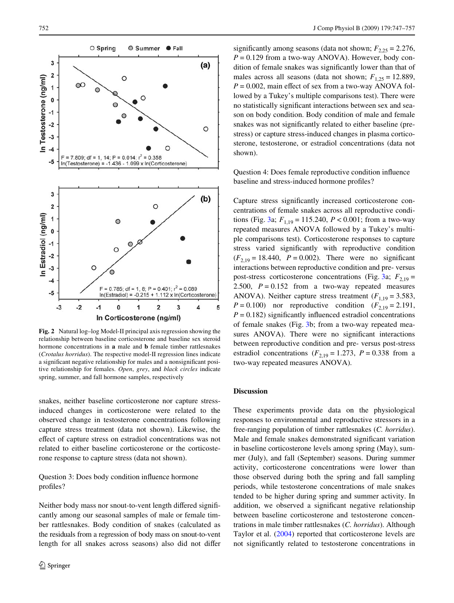

<span id="page-5-0"></span>**Fig. 2** Natural log–log Model-II principal axis regression showing the relationship between baseline corticosterone and baseline sex steroid hormone concentrations in **a** male and **b** female timber rattlesnakes (*Crotalus horridus*). The respective model-II regression lines indicate a significant negative relationship for males and a nonsignificant positive relationship for females. *Open*, *grey*, and *black circles* indicate spring, summer, and fall hormone samples, respectively

snakes, neither baseline corticosterone nor capture stressinduced changes in corticosterone were related to the observed change in testosterone concentrations following capture stress treatment (data not shown). Likewise, the effect of capture stress on estradiol concentrations was not related to either baseline corticosterone or the corticosterone response to capture stress (data not shown).

# Question 3: Does body condition influence hormone profiles?

Neither body mass nor snout-to-vent length differed significantly among our seasonal samples of male or female timber rattlesnakes. Body condition of snakes (calculated as the residuals from a regression of body mass on snout-to-vent length for all snakes across seasons) also did not differ significantly among seasons (data not shown;  $F_{2,25} = 2.276$ ,  $P = 0.129$  from a two-way ANOVA). However, body condition of female snakes was significantly lower than that of males across all seasons (data not shown;  $F_{1,25} = 12.889$ ,  $P = 0.002$ , main effect of sex from a two-way ANOVA followed by a Tukey's multiple comparisons test). There were no statistically significant interactions between sex and season on body condition. Body condition of male and female snakes was not significantly related to either baseline (prestress) or capture stress-induced changes in plasma corticosterone, testosterone, or estradiol concentrations (data not shown).

Question 4: Does female reproductive condition influence baseline and stress-induced hormone profiles?

Capture stress significantly increased corticosterone concentrations of female snakes across all reproductive condi-tions (Fig. [3a](#page-6-0);  $F_{1,19} = 115.240$ ,  $P < 0.001$ ; from a two-way repeated measures ANOVA followed by a Tukey's multiple comparisons test). Corticosterone responses to capture stress varied significantly with reproductive condition  $(F_{2,19} = 18.440, P = 0.002)$ . There were no significant interactions between reproductive condition and pre- versus post-stress corticosterone concentrations (Fig. [3](#page-6-0)a;  $F_{2,19}$  = 2.500,  $P = 0.152$  from a two-way repeated measures ANOVA). Neither capture stress treatment  $(F_{1,19} = 3.583,$ *P* = 0.100) nor reproductive condition ( $F_{2,19} = 2.191$ ,  $P = 0.182$ ) significantly influenced estradiol concentrations of female snakes (Fig. [3b](#page-6-0); from a two-way repeated measures ANOVA). There were no significant interactions between reproductive condition and pre- versus post-stress estradiol concentrations  $(F_{2,19} = 1.273, P = 0.338$  from a two-way repeated measures ANOVA).

## **Discussion**

These experiments provide data on the physiological responses to environmental and reproductive stressors in a free-ranging population of timber rattlesnakes (*C. horridus*). Male and female snakes demonstrated significant variation in baseline corticosterone levels among spring (May), summer (July), and fall (September) seasons. During summer activity, corticosterone concentrations were lower than those observed during both the spring and fall sampling periods, while testosterone concentrations of male snakes tended to be higher during spring and summer activity. In addition, we observed a significant negative relationship between baseline corticosterone and testosterone concentrations in male timber rattlesnakes (*C. horridus*). Although Taylor et al. ([2004\)](#page-9-24) reported that corticosterone levels are not significantly related to testosterone concentrations in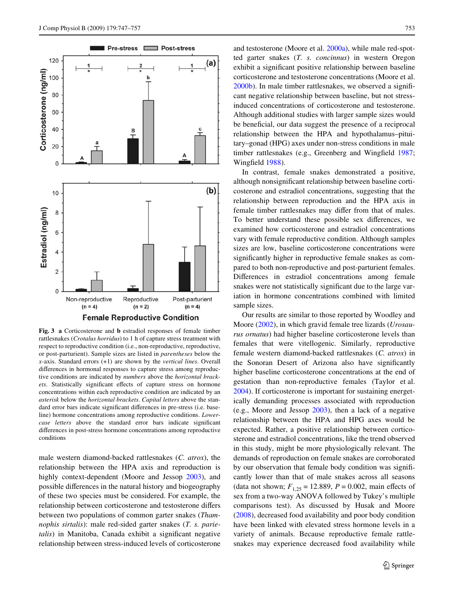

<span id="page-6-0"></span>**Fig. 3 a** Corticosterone and **b** estradiol responses of female timber rattlesnakes (*Crotalus horridus*) to 1 h of capture stress treatment with respect to reproductive condition (i.e., non-reproductive, reproductive, or post-parturient). Sample sizes are listed in *parentheses* below the *x*-axis. Standard errors (+1) are shown by the *vertical lines*. Overall differences in hormonal responses to capture stress among reproductive conditions are indicated by *numbers* above the *horizontal brack*ets. Statistically significant effects of capture stress on hormone concentrations within each reproductive condition are indicated by an *asterisk* below the *horizontal brackets*. *Capital letters* above the standard error bars indicate significant differences in pre-stress (i.e. baseline) hormone concentrations among reproductive conditions. *Lowercase letters* above the standard error bars indicate significant differences in post-stress hormone concentrations among reproductive conditions

male western diamond-backed rattlesnakes (*C. atrox*), the relationship between the HPA axis and reproduction is highly context-dependent (Moore and Jessop [2003](#page-9-1)), and possible differences in the natural history and biogeography of these two species must be considered. For example, the relationship between corticosterone and testosterone differs between two populations of common garter snakes (*Thamnophis sirtalis*): male red-sided garter snakes (*T. s. parietalis*) in Manitoba, Canada exhibit a significant negative relationship between stress-induced levels of corticosterone and testosterone (Moore et al. [2000a\)](#page-9-7), while male red-spotted garter snakes (*T. s. concinnus*) in western Oregon exhibit a significant positive relationship between baseline corticosterone and testosterone concentrations (Moore et al.  $2000<sub>b</sub>$ ). In male timber rattlesnakes, we observed a significant negative relationship between baseline, but not stressinduced concentrations of corticosterone and testosterone. Although additional studies with larger sample sizes would be beneficial, our data suggest the presence of a reciprocal relationship between the HPA and hypothalamus–pituitary–gonad (HPG) axes under non-stress conditions in male timber rattlesnakes (e.g., Greenberg and Wingfield [1987;](#page-8-17) Wingfield [1988\)](#page-10-1).

In contrast, female snakes demonstrated a positive, although nonsignificant relationship between baseline corticosterone and estradiol concentrations, suggesting that the relationship between reproduction and the HPA axis in female timber rattlesnakes may differ from that of males. To better understand these possible sex differences, we examined how corticosterone and estradiol concentrations vary with female reproductive condition. Although samples sizes are low, baseline corticosterone concentrations were significantly higher in reproductive female snakes as compared to both non-reproductive and post-parturient females. Differences in estradiol concentrations among female snakes were not statistically significant due to the large variation in hormone concentrations combined with limited sample sizes.

Our results are similar to those reported by Woodley and Moore ([2002\)](#page-10-5), in which gravid female tree lizards (*Urosaurus ornatus*) had higher baseline corticosterone levels than females that were vitellogenic. Similarly, reproductive female western diamond-backed rattlesnakes (*C. atrox*) in the Sonoran Desert of Arizona also have significantly higher baseline corticosterone concentrations at the end of gestation than non-reproductive females (Taylor et al. [2004](#page-9-24)). If corticosterone is important for sustaining energetically demanding processes associated with reproduction (e.g., Moore and Jessop [2003\)](#page-9-1), then a lack of a negative relationship between the HPA and HPG axes would be expected. Rather, a positive relationship between corticosterone and estradiol concentrations, like the trend observed in this study, might be more physiologically relevant. The demands of reproduction on female snakes are corroborated by our observation that female body condition was significantly lower than that of male snakes across all seasons (data not shown;  $F_{1,25} = 12.889$ ,  $P = 0.002$ , main effects of sex from a two-way ANOVA followed by Tukey's multiple comparisons test). As discussed by Husak and Moore [\(2008\)](#page-8-16), decreased food availability and poor body condition have been linked with elevated stress hormone levels in a variety of animals. Because reproductive female rattlesnakes may experience decreased food availability while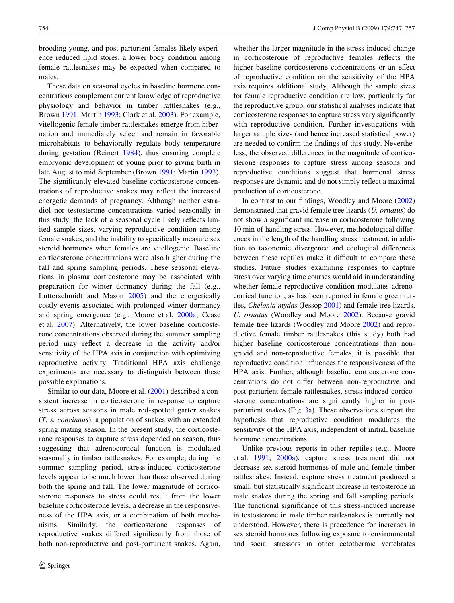brooding young, and post-parturient females likely experience reduced lipid stores, a lower body condition among female rattlesnakes may be expected when compared to males.

These data on seasonal cycles in baseline hormone concentrations complement current knowledge of reproductive physiology and behavior in timber rattlesnakes (e.g., Brown [1991;](#page-8-7) Martin [1993;](#page-9-20) Clark et al. [2003\)](#page-8-13). For example, vitellogenic female timber rattlesnakes emerge from hibernation and immediately select and remain in favorable microhabitats to behaviorally regulate body temperature during gestation (Reinert [1984\)](#page-9-26), thus ensuring complete embryonic development of young prior to giving birth in late August to mid September (Brown [1991;](#page-8-7) Martin [1993](#page-9-20)). The significantly elevated baseline corticosterone concentrations of reproductive snakes may reflect the increased energetic demands of pregnancy. Although neither estradiol nor testosterone concentrations varied seasonally in this study, the lack of a seasonal cycle likely reflects limited sample sizes, varying reproductive condition among female snakes, and the inability to specifically measure sex steroid hormones when females are vitellogenic. Baseline corticosterone concentrations were also higher during the fall and spring sampling periods. These seasonal elevations in plasma corticosterone may be associated with preparation for winter dormancy during the fall (e.g., Lutterschmidt and Mason [2005\)](#page-9-18) and the energetically costly events associated with prolonged winter dormancy and spring emergence (e.g., Moore et al. [2000a](#page-9-7); Cease et al. [2007](#page-8-3)). Alternatively, the lower baseline corticosterone concentrations observed during the summer sampling period may reflect a decrease in the activity and/or sensitivity of the HPA axis in conjunction with optimizing reproductive activity. Traditional HPA axis challenge experiments are necessary to distinguish between these possible explanations.

Similar to our data, Moore et al. [\(2001](#page-9-15)) described a consistent increase in corticosterone in response to capture stress across seasons in male red-spotted garter snakes (*T. s. concinnus*), a population of snakes with an extended spring mating season. In the present study, the corticosterone responses to capture stress depended on season, thus suggesting that adrenocortical function is modulated seasonally in timber rattlesnakes. For example, during the summer sampling period, stress-induced corticosterone levels appear to be much lower than those observed during both the spring and fall. The lower magnitude of corticosterone responses to stress could result from the lower baseline corticosterone levels, a decrease in the responsiveness of the HPA axis, or a combination of both mechanisms. Similarly, the corticosterone responses of reproductive snakes differed significantly from those of both non-reproductive and post-parturient snakes. Again, whether the larger magnitude in the stress-induced change in corticosterone of reproductive females reflects the higher baseline corticosterone concentrations or an effect of reproductive condition on the sensitivity of the HPA axis requires additional study. Although the sample sizes for female reproductive condition are low, particularly for the reproductive group, our statistical analyses indicate that corticosterone responses to capture stress vary significantly with reproductive condition. Further investigations with larger sample sizes (and hence increased statistical power) are needed to confirm the findings of this study. Nevertheless, the observed differences in the magnitude of corticosterone responses to capture stress among seasons and reproductive conditions suggest that hormonal stress responses are dynamic and do not simply reflect a maximal production of corticosterone.

In contrast to our findings, Woodley and Moore  $(2002)$  $(2002)$ demonstrated that gravid female tree lizards (*U. ornatus*) do not show a significant increase in corticosterone following 10 min of handling stress. However, methodological differences in the length of the handling stress treatment, in addition to taxonomic divergence and ecological differences between these reptiles make it difficult to compare these studies. Future studies examining responses to capture stress over varying time courses would aid in understanding whether female reproductive condition modulates adrenocortical function, as has been reported in female green turtles, *Chelonia mydas* (Jessop [2001\)](#page-8-18) and female tree lizards, *U. ornatus* (Woodley and Moore [2002](#page-10-5)). Because gravid female tree lizards (Woodley and Moore [2002\)](#page-10-5) and reproductive female timber rattlesnakes (this study) both had higher baseline corticosterone concentrations than nongravid and non-reproductive females, it is possible that reproductive condition influences the responsiveness of the HPA axis. Further, although baseline corticosterone concentrations do not differ between non-reproductive and post-parturient female rattlesnakes, stress-induced corticosterone concentrations are significantly higher in postparturient snakes (Fig. [3a](#page-6-0)). These observations support the hypothesis that reproductive condition modulates the sensitivity of the HPA axis, independent of initial, baseline hormone concentrations.

Unlike previous reports in other reptiles (e.g., Moore et al. [1991;](#page-9-5) [2000a](#page-9-7)), capture stress treatment did not decrease sex steroid hormones of male and female timber rattlesnakes. Instead, capture stress treatment produced a small, but statistically significant increase in testosterone in male snakes during the spring and fall sampling periods. The functional significance of this stress-induced increase in testosterone in male timber rattlesnakes is currently not understood. However, there is precedence for increases in sex steroid hormones following exposure to environmental and social stressors in other ectothermic vertebrates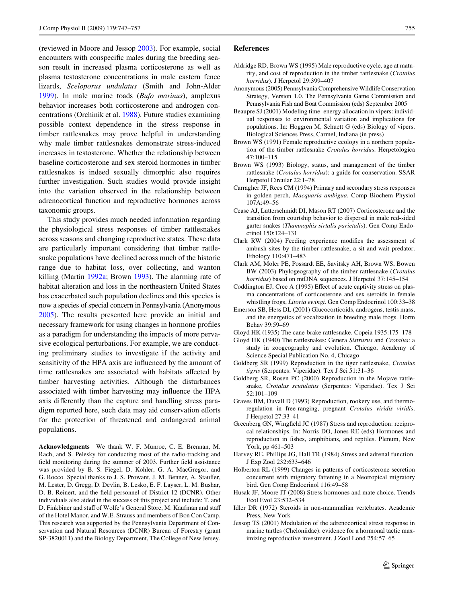(reviewed in Moore and Jessop [2003\)](#page-9-1). For example, social encounters with conspecific males during the breeding season result in increased plasma corticosterone as well as plasma testosterone concentrations in male eastern fence lizards, *Sceloporus undulatus* (Smith and John-Alder [1999](#page-9-37)). In male marine toads (*Bufo marinus*), amplexus behavior increases both corticosterone and androgen concentrations (Orchinik et al. [1988](#page-9-38)). Future studies examining possible context dependence in the stress response in timber rattlesnakes may prove helpful in understanding why male timber rattlesnakes demonstrate stress-induced increases in testosterone. Whether the relationship between baseline corticosterone and sex steroid hormones in timber rattlesnakes is indeed sexually dimorphic also requires further investigation. Such studies would provide insight into the variation observed in the relationship between adrenocortical function and reproductive hormones across taxonomic groups.

This study provides much needed information regarding the physiological stress responses of timber rattlesnakes across seasons and changing reproductive states. These data are particularly important considering that timber rattlesnake populations have declined across much of the historic range due to habitat loss, over collecting, and wanton killing (Martin [1992a;](#page-9-39) Brown [1993](#page-8-12)). The alarming rate of habitat alteration and loss in the northeastern United States has exacerbated such population declines and this species is now a species of special concern in Pennsylvania (Anonymous [2005](#page-8-19)). The results presented here provide an initial and necessary framework for using changes in hormone profiles as a paradigm for understanding the impacts of more pervasive ecological perturbations. For example, we are conducting preliminary studies to investigate if the activity and sensitivity of the HPA axis are influenced by the amount of time rattlesnakes are associated with habitats affected by timber harvesting activities. Although the disturbances associated with timber harvesting may influence the HPA axis differently than the capture and handling stress paradigm reported here, such data may aid conservation efforts for the protection of threatened and endangered animal populations.

**Acknowledgments** We thank W. F. Munroe, C. E. Brennan, M. Rach, and S. Pelesky for conducting most of the radio-tracking and field monitoring during the summer of 2003. Further field assistance was provided by B. S. Fiegel, D. Kohler, G. A. MacGregor, and G. Rocco. Special thanks to J. S. Prowant, J. M. Benner, A. Stauffer, M. Lester, D. Gregg, D. Devlin, B. Lesko, E. F. Layser, L. M. Bushar, D. B. Reinert, and the field personnel of District 12 (DCNR). Other individuals also aided in the success of this project and include: T. and D. Finkbiner and staff of Wolfe's General Store, M. Kaufman and staff of the Hotel Manor, and W.E. Strauss and members of Bon Con Camp. This research was supported by the Pennsylvania Department of Conservation and Natural Resources (DCNR) Bureau of Forestry (grant SP-3820011) and the Biology Department, The College of New Jersey.

## **References**

- <span id="page-8-9"></span>Aldridge RD, Brown WS (1995) Male reproductive cycle, age at maturity, and cost of reproduction in the timber rattlesnake (*Crotalus horridus*). J Herpetol 29:399–407
- <span id="page-8-19"></span>Anonymous (2005) Pennsylvania Comprehensive Wildlife Conservation Strategy, Version 1.0. The Pennsylvania Game Commission and Pennsylvania Fish and Boat Commission (eds) September 2005
- <span id="page-8-14"></span>Beaupre SJ (2001) Modeling time–energy allocation in vipers: individual responses to environmental variation and implications for populations. In: Hoggren M, Schuett G (eds) Biology of vipers. Biological Sciences Press, Carmel, Indiana (in press)
- <span id="page-8-7"></span>Brown WS (1991) Female reproductive ecology in a northern population of the timber rattlesnake *Crotalus horridus*. Herpetologica 47:100–115
- <span id="page-8-12"></span>Brown WS (1993) Biology, status, and management of the timber rattlesnake (*Crotalus horridus*): a guide for conservation. SSAR Herpetol Circular 22:1–78
- <span id="page-8-1"></span>Carragher JF, Rees CM (1994) Primary and secondary stress responses in golden perch, *Macquaria ambigua*. Comp Biochem Physiol 107A:49–56
- <span id="page-8-3"></span>Cease AJ, Lutterschmidt DI, Mason RT (2007) Corticosterone and the transition from courtship behavior to dispersal in male red-sided garter snakes (*Thamnophis sirtalis parietalis*). Gen Comp Endocrinol 150:124–131
- <span id="page-8-15"></span>Clark RW (2004) Feeding experience modifies the assessment of ambush sites by the timber rattlesnake, a sit-and-wait predator. Ethology 110:471–483
- <span id="page-8-13"></span>Clark AM, Moler PE, Possardt EE, Savitsky AH, Brown WS, Bowen BW (2003) Phylogeography of the timber rattlesnake (*Crotalus horridus*) based on mtDNA sequences. J Herpetol 37:145–154
- <span id="page-8-2"></span>Coddington EJ, Cree A (1995) Effect of acute captivity stress on plasma concentrations of corticosterone and sex steroids in female whistling frogs, *Litoria ewingi*. Gen Comp Endocrinol 100:33–38
- <span id="page-8-5"></span>Emerson SB, Hess DL (2001) Glucocorticoids, androgens, testis mass, and the energetics of vocalization in breeding male frogs. Horm Behav 39:59–69
- Gloyd HK (1935) The cane-brake rattlesnake. Copeia 1935:175–178
- Gloyd HK (1940) The rattlesnakes: Genera *Sistrurus* and *Crotalus*: a study in zoogeography and evolution. Chicago, Academy of Science Special Publication No. 4, Chicago
- <span id="page-8-10"></span>Goldberg SR (1999) Reproduction in the tiger rattlesnake, *Crotalus tigris* (Serpentes: Viperidae). Tex J Sci 51:31–36
- <span id="page-8-11"></span>Goldberg SR, Rosen PC (2000) Reproduction in the Mojave rattlesnake, *Crotalus scutulatus* (Serpentes: Viperidae). Tex J Sci 52:101–109
- <span id="page-8-8"></span>Graves BM, Duvall D (1993) Reproduction, rookery use, and thermoregulation in free-ranging, pregnant *Crotalus viridis viridis*. J Herpetol 27:33–41
- <span id="page-8-17"></span>Greenberg GN, Wingfield JC (1987) Stress and reproduction: reciprocal relationships. In: Norris DO, Jones RE (eds) Hormones and reproduction in fishes, amphibians, and reptiles. Plenum, New York, pp 461–503
- <span id="page-8-0"></span>Harvey RE, Phillips JG, Hall TR (1984) Stress and adrenal function. J Exp Zool 232:633–646
- <span id="page-8-4"></span>Holberton RL (1999) Changes in patterns of corticosterone secretion concurrent with migratory fattening in a Neotropical migratory bird. Gen Comp Endocrinol 116:49–58
- <span id="page-8-16"></span>Husak JF, Moore IT (2008) Stress hormones and mate choice. Trends Ecol Evol 23:532–534
- <span id="page-8-6"></span>Idler DR (1972) Steroids in non-mammalian vertebrates. Academic Press, New York
- <span id="page-8-18"></span>Jessop TS (2001) Modulation of the adrenocortical stress response in marine turtles (Cheloniidae): evidence for a hormonal tactic maximizing reproductive investment. J Zool Lond 254:57–65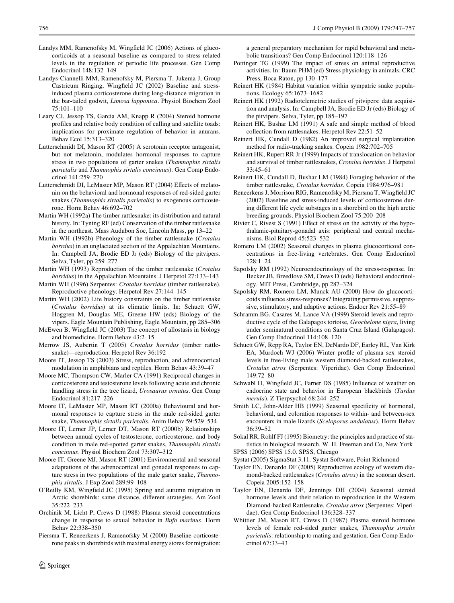- <span id="page-9-8"></span>Landys MM, Ramenofsky M, Wingfield JC (2006) Actions of glucocorticoids at a seasonal baseline as compared to stress-related levels in the regulation of periodic life processes. Gen Comp Endocrinol 148:132–149
- <span id="page-9-12"></span>Landys-Ciannelli MM, Ramenofsky M, Piersma T, Jukema J, Group Castricum Ringing, Wingfield JC (2002) Baseline and stressinduced plasma corticosterone during long-distance migration in the bar-tailed godwit, *Limosa lapponica*. Physiol Biochem Zool 75:101–110
- <span id="page-9-13"></span>Leary CJ, Jessop TS, Garcia AM, Knapp R (2004) Steroid hormone profiles and relative body condition of calling and satellite toads: implications for proximate regulation of behavior in anurans. Behav Ecol 15:313–320
- <span id="page-9-18"></span>Lutterschmidt DI, Mason RT (2005) A serotonin receptor antagonist, but not melatonin, modulates hormonal responses to capture stress in two populations of garter snakes (*Thamnophis sirtalis parietalis* and *Thamnophis sirtalis concinnus*). Gen Comp Endocrinol 141:259–270
- <span id="page-9-32"></span>Lutterschmidt DI, LeMaster MP, Mason RT (2004) Effects of melatonin on the behavioral and hormonal responses of red-sided garter snakes (*Thamnophis sirtalis parietalis*) to exogenous corticosterone. Horm Behav 46:692–702
- <span id="page-9-39"></span>Martin WH (1992a) The timber rattlesnake: its distribution and natural history. In: Tyning RF (ed) Conservation of the timber rattlesnake in the northeast. Mass Audubon Soc, Lincoln Mass, pp 13–22
- <span id="page-9-19"></span>Martin WH (1992b) Phenology of the timber rattlesnake (*Crotalus horrdus*) in an unglaciated section of the Appalachian Mountains. In: Campbell JA, Brodie ED Jr (eds) Biology of the pitvipers. Selva, Tyler, pp 259–277
- <span id="page-9-20"></span>Martin WH (1993) Reproduction of the timber rattlesnake (*Crotalus horridus*) in the Appalachian Mountains. J Herpetol 27:133–143
- <span id="page-9-21"></span>Martin WH (1996) Serpentes: *Crotalus horridus* (timber rattlesnake). Reproductive phenology. Herpetol Rev 27:144–145
- Martin WH (2002) Life history constraints on the timber rattlesnake (*Crotalus horridus*) at its climatic limits. In: Schuett GW, Hoggren M, Douglas ME, Greene HW (eds) Biology of the vipers. Eagle Mountain Publishing, Eagle Mountain, pp 285–306
- <span id="page-9-0"></span>McEwen B, Wingfield JC (2003) The concept of allostasis in biology and biomedicine. Horm Behav 43:2–15
- <span id="page-9-22"></span>Merrow JS, Aubertin T (2005) *Crotalus horridus* (timber rattlesnake)—reproduction. Herpetol Rev 36:192
- <span id="page-9-1"></span>Moore IT, Jessop TS (2003) Stress, reproduction, and adrenocortical modulation in amphibians and reptiles. Horm Behav 43:39–47
- <span id="page-9-5"></span>Moore MC, Thompson CW, Marler CA (1991) Reciprocal changes in corticosterone and testosterone levels following acute and chronic handling stress in the tree lizard, *Urosaurus ornatus*. Gen Comp Endocrinol 81:217–226
- <span id="page-9-7"></span>Moore IT, LeMaster MP, Mason RT (2000a) Behavioural and hormonal responses to capture stress in the male red-sided garter snake, *Thamnophis sirtalis parietalis*. Anim Behav 59:529–534
- <span id="page-9-36"></span>Moore IT, Lerner JP, Lerner DT, Mason RT (2000b) Relationships between annual cycles of testosterone, corticosterone, and body condition in male red-spotted garter snakes, *Thamnophis sirtalis concinnus*. Physiol Biochem Zool 73:307–312
- <span id="page-9-15"></span>Moore IT, Greene MJ, Mason RT (2001) Environmental and seasonal adaptations of the adrenocortical and gonadal responses to capture stress in two populations of the male garter snake, *Thamnophis sirtalis*. J Exp Zool 289:99–108
- <span id="page-9-9"></span>O'Reilly KM, Wingfield JC (1995) Spring and autumn migration in Arctic shorebirds: same distance, different strategies. Am Zool 35:222–233
- <span id="page-9-38"></span>Orchinik M, Licht P, Crews D (1988) Plasma steroid concentrations change in response to sexual behavior in *Bufo marinus*. Horm Behav 22:338–350
- <span id="page-9-10"></span>Piersma T, Reneerkens J, Ramenofsky M (2000) Baseline corticosterone peaks in shorebirds with maximal energy stores for migration:

 $\textcircled{2}$  Springer

a general preparatory mechanism for rapid behavioral and metabolic transitions? Gen Comp Endocrinol 120:118–126

- <span id="page-9-4"></span>Pottinger TG (1999) The impact of stress on animal reproductive activities. In: Baum PHM (ed) Stress physiology in animals. CRC Press, Boca Raton, pp 130–177
- <span id="page-9-26"></span>Reinert HK (1984) Habitat variation within sympatric snake populations. Ecology 65:1673–1682
- Reinert HK (1992) Radiotelemetric studies of pitvipers: data acquisition and analysis. In: Campbell JA, Brodie ED Jr (eds) Biology of the pitvipers. Selva, Tyler, pp 185–197
- <span id="page-9-30"></span>Reinert HK, Bushar LM (1991) A safe and simple method of blood collection from rattlesnakes. Herpetol Rev 22:51–52
- <span id="page-9-29"></span>Reinert HK, Cundall D (1982) An improved surgical implantation method for radio-tracking snakes. Copeia 1982:702–705
- <span id="page-9-28"></span>Reinert HK, Rupert RR Jr (1999) Impacts of translocation on behavior and survival of timber rattlesnakes, *Crotalus horridus*. J Herpetol 33:45–61
- <span id="page-9-27"></span>Reinert HK, Cundall D, Bushar LM (1984) Foraging behavior of the timber rattlesnake, *Crotalus horridus*. Copeia 1984:976–981
- <span id="page-9-11"></span>Reneerkens J, Morrison RIG, Ramenofsky M, Piersma T, Wingfield JC (2002) Baseline and stress-induced levels of corticosterone during different life cycle substages in a shorebird on the high arctic breeding grounds. Physiol Biochem Zool 75:200–208
- <span id="page-9-6"></span>Rivier C, Rivest S  $(1991)$  Effect of stress on the activity of the hypothalamic-pituitary-gonadal axis: peripheral and central mechanisms. Biol Reprod 45:523–532
- <span id="page-9-16"></span>Romero LM (2002) Seasonal changes in plasma glucocorticoid concentrations in free-living vertebrates. Gen Comp Endocrinol 128:1–24
- <span id="page-9-3"></span>Sapolsky RM (1992) Neuroendocrinology of the stress-response. In: Becker JB, Breedlove SM, Crews D (eds) Behavioral endocrinology. MIT Press, Cambridge, pp 287–324
- <span id="page-9-31"></span>Sapolsky RM, Romero LM, Munck AU (2000) How do glucocorticoids influence stress-responses? Integrating permissive, suppressive, stimulatory, and adaptive actions. Endocr Rev 21:55–89
- <span id="page-9-14"></span>Schramm BG, Casares M, Lance VA (1999) Steroid levels and reproductive cycle of the Galapagos tortoise, *Geochelone nigra*, living under seminatural conditions on Santa Cruz Island (Galapagos). Gen Comp Endocrinol 114:108–120
- <span id="page-9-25"></span>Schuett GW, Repp RA, Taylor EN, DeNardo DF, Earley RL, Van Kirk EA, Murdoch WJ (2006) Winter profile of plasma sex steroid levels in free-living male western diamond-backed rattlesnakes, *Crotalus atrox* (Serpentes: Viperidae). Gen Comp Endocrinol 149:72–80
- <span id="page-9-2"></span>Schwabl H, Wingfield JC, Farner DS (1985) Influence of weather on endocrine state and behavior in European blackbirds (*Turdus merula*). Z Tierpsychol 68:244–252
- <span id="page-9-37"></span>Smith LC, John-Alder HB (1999) Seasonal specificity of hormonal, behavioral, and coloration responses to within- and between-sex encounters in male lizards (*Sceloporus undulatus*). Horm Behav 36:39–52
- <span id="page-9-33"></span>Sokal RR, Rohlf FJ (1995) Biometry: the principles and practice of statistics in biological research. W. H. Freeman and Co, New York
- <span id="page-9-35"></span>SPSS (2006) SPSS 15.0. SPSS, Chicago
- <span id="page-9-34"></span>Systat (2005) SigmaStat 3.11. Systat Software, Point Richmond
- <span id="page-9-23"></span>Taylor EN, Denardo DF (2005) Reproductive ecology of western diamond-backed rattlesnakes (*Crotalus atrox*) in the sonoran desert. Copeia 2005:152–158
- <span id="page-9-24"></span>Taylor EN, Denardo DF, Jennings DH (2004) Seasonal steroid hormone levels and their relation to reproduction in the Western Diamond-backed Rattlesnake, *Crotalus atrox* (Serpentes: Viperidae). Gen Comp Endocrinol 136:328–337
- <span id="page-9-17"></span>Whittier JM, Mason RT, Crews D (1987) Plasma steroid hormone levels of female red-sided garter snakes, *Thamnophis sirtalis parietalis*: relationship to mating and gestation. Gen Comp Endocrinol 67:33–43